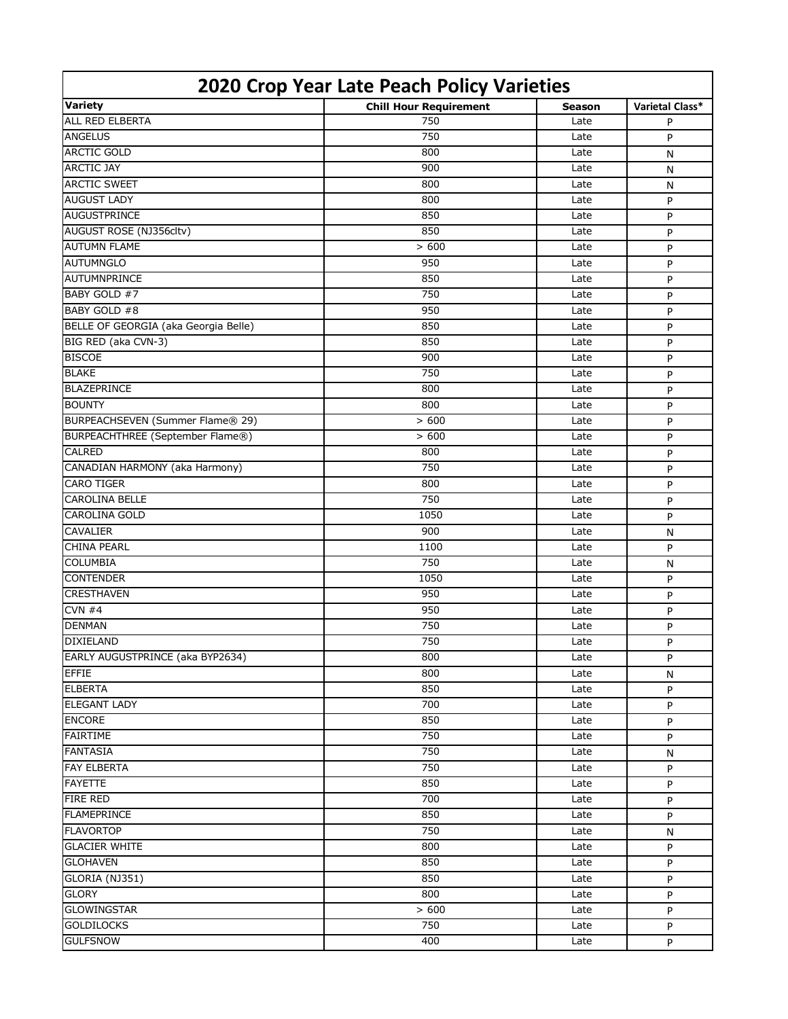| 2020 Crop Year Late Peach Policy Varieties |                               |               |                 |  |  |
|--------------------------------------------|-------------------------------|---------------|-----------------|--|--|
| <b>Variety</b>                             | <b>Chill Hour Requirement</b> | <b>Season</b> | Varietal Class* |  |  |
| <b>ALL RED ELBERTA</b>                     | 750                           | Late          | P               |  |  |
| <b>ANGELUS</b>                             | 750                           | Late          | P               |  |  |
| <b>ARCTIC GOLD</b>                         | 800                           | Late          | N               |  |  |
| <b>ARCTIC JAY</b>                          | 900                           | Late          | N               |  |  |
| <b>ARCTIC SWEET</b>                        | 800                           | Late          | N               |  |  |
| <b>AUGUST LADY</b>                         | 800                           | Late          | P               |  |  |
| <b>AUGUSTPRINCE</b>                        | 850                           | Late          | P               |  |  |
| AUGUST ROSE (NJ356cltv)                    | 850                           | Late          | P               |  |  |
| <b>AUTUMN FLAME</b>                        | > 600                         | Late          | P               |  |  |
| <b>AUTUMNGLO</b>                           | 950                           | Late          | P               |  |  |
| AUTUMNPRINCE                               | 850                           | Late          | P               |  |  |
| BABY GOLD #7                               | 750                           | Late          | P               |  |  |
| BABY GOLD #8                               | 950                           | Late          | P               |  |  |
| BELLE OF GEORGIA (aka Georgia Belle)       | 850                           | Late          | P               |  |  |
| BIG RED (aka CVN-3)                        | 850                           | Late          | P               |  |  |
| <b>BISCOE</b>                              | 900                           | Late          | P               |  |  |
| <b>BLAKE</b>                               | 750                           | Late          | P               |  |  |
| <b>BLAZEPRINCE</b>                         | 800                           | Late          | P               |  |  |
| <b>BOUNTY</b>                              | 800                           | Late          | P               |  |  |
| BURPEACHSEVEN (Summer Flame® 29)           | > 600                         | Late          | P               |  |  |
| <b>BURPEACHTHREE (September Flame®)</b>    | > 600                         | Late          | P               |  |  |
| <b>CALRED</b>                              | 800                           | Late          | P               |  |  |
| CANADIAN HARMONY (aka Harmony)             | 750                           | Late          | P               |  |  |
| <b>CARO TIGER</b>                          | 800                           | Late          | P               |  |  |
| <b>CAROLINA BELLE</b>                      | 750                           | Late          | P               |  |  |
| <b>CAROLINA GOLD</b>                       | 1050                          | Late          | P               |  |  |
| <b>CAVALIER</b>                            | 900                           | Late          | N               |  |  |
| <b>CHINA PEARL</b>                         | 1100                          | Late          | P               |  |  |
| <b>COLUMBIA</b>                            | 750                           | Late          | N               |  |  |
| <b>CONTENDER</b>                           | 1050                          | Late          | P               |  |  |
| <b>CRESTHAVEN</b>                          | 950                           | Late          | P               |  |  |
| CVN #4                                     | 950                           | Late          | P               |  |  |
| <b>DENMAN</b>                              | 750                           | Late          | P               |  |  |
| <b>DIXIELAND</b>                           | 750                           | Late          | P               |  |  |
| EARLY AUGUSTPRINCE (aka BYP2634)           | 800                           | Late          | P               |  |  |
| <b>EFFIE</b>                               | 800                           | Late          | N               |  |  |
| <b>ELBERTA</b>                             | 850                           | Late          | P               |  |  |
| <b>ELEGANT LADY</b>                        | 700                           | Late          | P               |  |  |
| <b>ENCORE</b>                              | 850                           | Late          | P               |  |  |
| <b>FAIRTIME</b>                            | 750                           | Late          | P               |  |  |
| <b>FANTASIA</b>                            | 750                           | Late          | N               |  |  |
| <b>FAY ELBERTA</b>                         | 750                           | Late          | P               |  |  |
| <b>FAYETTE</b>                             | 850                           | Late          | P               |  |  |
| <b>FIRE RED</b>                            | 700                           | Late          | P               |  |  |
| <b>FLAMEPRINCE</b>                         | 850                           | Late          | P               |  |  |
| <b>FLAVORTOP</b>                           | 750                           | Late          | N               |  |  |
| <b>GLACIER WHITE</b>                       | 800                           | Late          | P               |  |  |
| <b>GLOHAVEN</b>                            | 850                           | Late          | P               |  |  |
| GLORIA (NJ351)                             | 850                           | Late          | P               |  |  |
| <b>GLORY</b>                               | 800                           | Late          | P               |  |  |
| <b>GLOWINGSTAR</b>                         | > 600                         | Late          | P               |  |  |
| <b>GOLDILOCKS</b>                          | 750                           | Late          | P               |  |  |
| <b>GULFSNOW</b>                            | 400                           | Late          | P               |  |  |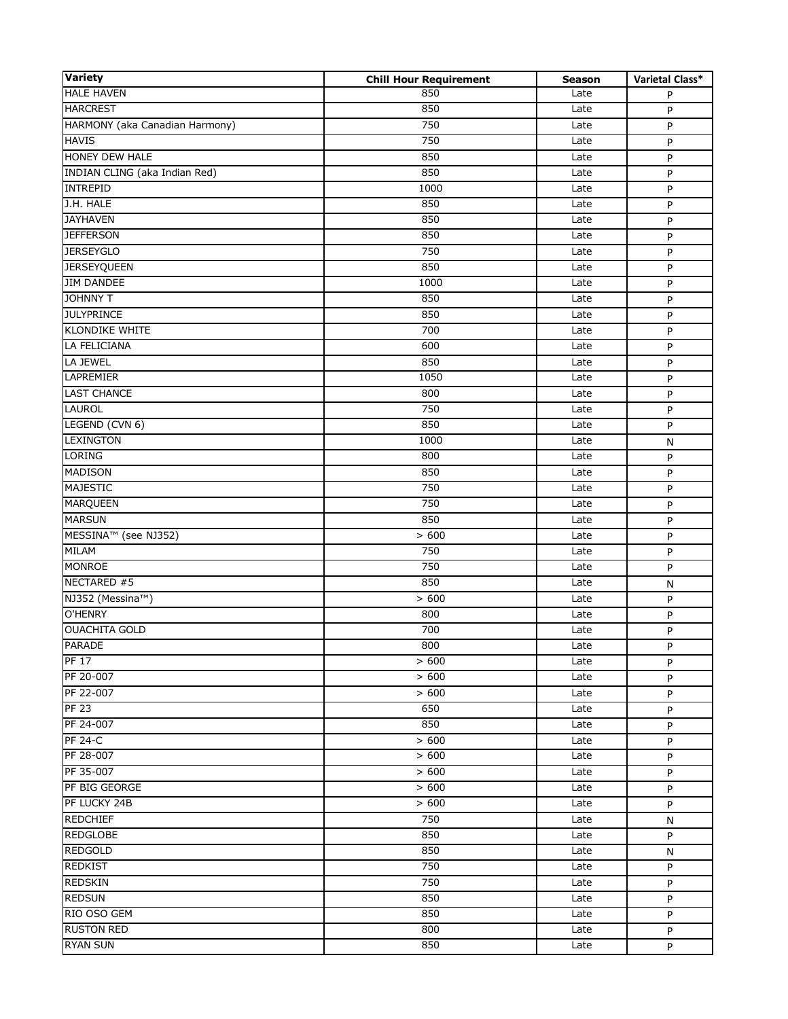| <b>Variety</b>                 | <b>Chill Hour Requirement</b> | <b>Season</b> | Varietal Class* |
|--------------------------------|-------------------------------|---------------|-----------------|
| <b>HALE HAVEN</b>              | 850                           | Late          | P               |
| <b>HARCREST</b>                | 850                           | Late          | P               |
| HARMONY (aka Canadian Harmony) | 750                           | Late          | P               |
| <b>HAVIS</b>                   | 750                           | Late          | P               |
| HONEY DEW HALE                 | 850                           | Late          | P               |
| INDIAN CLING (aka Indian Red)  | 850                           | Late          | P               |
| <b>INTREPID</b>                | 1000                          | Late          | P               |
| J.H. HALE                      | 850                           | Late          | P               |
| <b>JAYHAVEN</b>                | 850                           | Late          | P               |
| <b>JEFFERSON</b>               | 850                           | Late          | P               |
| <b>JERSEYGLO</b>               | 750                           | Late          | P               |
| <b>JERSEYQUEEN</b>             | 850                           | Late          | P               |
| <b>JIM DANDEE</b>              | 1000                          | Late          | P               |
| <b>JOHNNY T</b>                | 850                           | Late          | P               |
| <b>JULYPRINCE</b>              | 850                           | Late          | P               |
| <b>KLONDIKE WHITE</b>          | 700                           | Late          | P               |
| LA FELICIANA                   | 600                           | Late          | P               |
| LA JEWEL                       | 850                           | Late          | P               |
| <b>LAPREMIER</b>               | 1050                          | Late          | P               |
| <b>LAST CHANCE</b>             | 800                           | Late          | P               |
| <b>LAUROL</b>                  | 750                           | Late          | P               |
| LEGEND (CVN 6)                 | 850                           | Late          | P               |
| <b>LEXINGTON</b>               | 1000                          | Late          | N               |
| <b>LORING</b>                  | 800                           | Late          | P               |
| <b>MADISON</b>                 | 850                           | Late          | P               |
| <b>MAJESTIC</b>                | 750                           | Late          | P               |
| <b>MARQUEEN</b>                | 750                           | Late          | P               |
| <b>MARSUN</b>                  | 850                           | Late          | P               |
| MESSINA™ (see NJ352)           | > 600                         | Late          | P               |
| <b>MILAM</b>                   | 750                           | Late          | P               |
| <b>MONROE</b>                  | 750                           | Late          | P               |
| NECTARED #5                    | 850                           | Late          | N               |
| NJ352 (Messina™)               | > 600                         | Late          | P               |
| O'HENRY                        | 800                           | Late          | P               |
| <b>OUACHITA GOLD</b>           | 700                           | Late          | P               |
| <b>PARADE</b>                  | 800                           | Late          | P               |
| <b>PF 17</b>                   | > 600                         | Late          | P               |
| PF 20-007                      | > 600                         | Late          | P               |
| PF 22-007                      | >600                          | Late          | P               |
| PF <sub>23</sub>               | 650                           | Late          | P               |
| PF 24-007                      | 850                           | Late          | P               |
| <b>PF 24-C</b>                 | > 600                         | Late          | P               |
| PF 28-007                      | > 600                         | Late          | P               |
| PF 35-007                      | > 600                         | Late          | P               |
| PF BIG GEORGE                  | > 600                         | Late          | P               |
| PF LUCKY 24B                   | > 600                         | Late          | P               |
| <b>REDCHIEF</b>                | 750                           | Late          | N               |
| <b>REDGLOBE</b>                | 850                           | Late          | P               |
| <b>REDGOLD</b>                 | 850                           | Late          | N               |
| <b>REDKIST</b>                 | 750                           | Late          | P               |
| <b>REDSKIN</b>                 | 750                           | Late          | P               |
| <b>REDSUN</b>                  | 850                           | Late          | P               |
| RIO OSO GEM                    | 850                           | Late          | P               |
| <b>RUSTON RED</b>              | 800                           | Late          |                 |
| <b>RYAN SUN</b>                | 850                           | Late          | P               |
|                                |                               |               | P               |